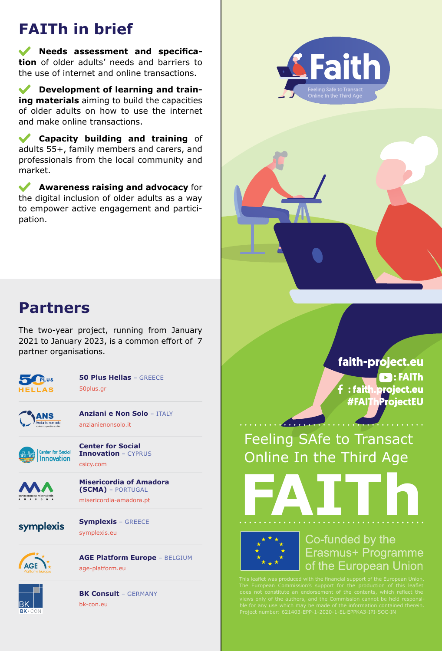## **FAITh in brief**

**Needs assessment and specification** of older adults' needs and barriers to the use of internet and online transactions.

 $\mathcal{L}$ **Development of learning and training materials** aiming to build the capacities of older adults on how to use the internet and make online transactions.

**Capacity building and training** of  $\blacktriangledown$ adults 55+, family members and carers, and professionals from the local community and market.

**Awareness raising and advocacy** for the digital inclusion of older adults as a way to empower active engagement and participation.





The two-year project, running from January 2021 to January 2023, is a common effort of 7 partner organisations.



**50 Plus Hellas** – GREECE 50plus.gr



**Anziani e Non Solo** – ITALY anzianienonsolo.it



**Center for Social Innovation** – CYPRUS csicy.com



**Misericordia of Amadora (SCMA)** – PORTUGAL misericordia-amadora.pt



**Symplexis** – GREECE symplexis.eu



**AGE Platform Europe** – BELGIUM age-platform.eu



**BK Consult** – GERMANY bk-con.eu

faith-project.eu  $\blacksquare$ : FAITh : faith project.eu **#FAIThProjectEU** 

Feeling SAfe to Transact Online In the Third Age



Co-funded by the Erasmus+ Programme of the European Union